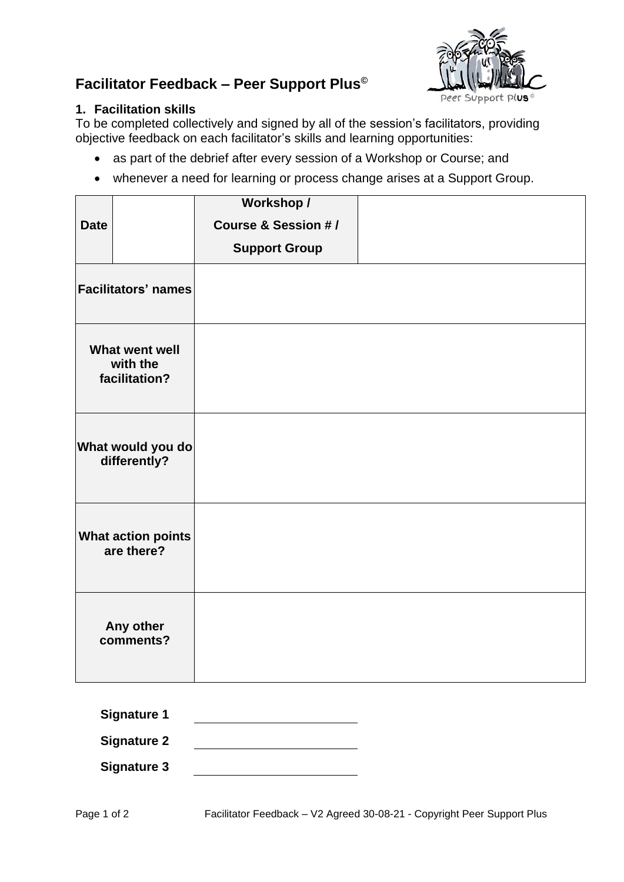## **Facilitator Feedback – Peer Support Plus©**

## **1. Facilitation skills**

Peer Support plus®

To be completed collectively and signed by all of the session's facilitators, providing objective feedback on each facilitator's skills and learning opportunities:

- as part of the debrief after every session of a Workshop or Course; and
- whenever a need for learning or process change arises at a Support Group.

|                                             |                        | Workshop /                     |  |
|---------------------------------------------|------------------------|--------------------------------|--|
| <b>Date</b>                                 |                        | <b>Course &amp; Session #/</b> |  |
|                                             |                        | <b>Support Group</b>           |  |
| <b>Facilitators' names</b>                  |                        |                                |  |
| What went well<br>with the<br>facilitation? |                        |                                |  |
| What would you do<br>differently?           |                        |                                |  |
| <b>What action points</b><br>are there?     |                        |                                |  |
|                                             | Any other<br>comments? |                                |  |

| <b>Signature 1</b> |  |
|--------------------|--|
| <b>Signature 2</b> |  |
| Signature 3        |  |